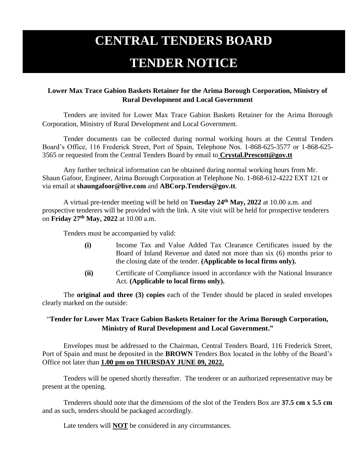## **CENTRAL TENDERS BOARD**

## **TENDER NOTICE**

## **Lower Max Trace Gabion Baskets Retainer for the Arima Borough Corporation, Ministry of Rural Development and Local Government**

Tenders are invited for Lower Max Trace Gabion Baskets Retainer for the Arima Borough Corporation, Ministry of Rural Development and Local Government.

Tender documents can be collected during normal working hours at the Central Tenders Board's Office, 116 Frederick Street, Port of Spain, Telephone Nos. 1-868-625-3577 or 1-868-625- 3565 or requested from the Central Tenders Board by email to **Crystal.Prescott@gov.tt**

Any further technical information can be obtained during normal working hours from Mr. Shaun Gafoor, Engineer, Arima Borough Corporation at Telephone No. 1-868-612-4222 EXT 121 or via email at **shaungafoor@live.com** and **ABCorp.Tenders@gov.tt**.

A virtual pre-tender meeting will be held on **Tuesday 24th May, 2022** at 10.00 a.m. and prospective tenderers will be provided with the link. A site visit will be held for prospective tenderers on **Friday 27th May, 2022** at 10.00 a.m.

Tenders must be accompanied by valid:

- **(i)** Income Tax and Value Added Tax Clearance Certificates issued by the Board of Inland Revenue and dated not more than six (6) months prior to the closing date of the tender. **(Applicable to local firms only).**
- **(ii)** Certificate of Compliance issued in accordance with the National Insurance Act. **(Applicable to local firms only).**

The **original and three (3) copies** each of the Tender should be placed in sealed envelopes clearly marked on the outside:

## "**Tender for Lower Max Trace Gabion Baskets Retainer for the Arima Borough Corporation, Ministry of Rural Development and Local Government."**

Envelopes must be addressed to the Chairman, Central Tenders Board, 116 Frederick Street, Port of Spain and must be deposited in the **BROWN** Tenders Box located in the lobby of the Board's Office not later than **1.00 pm on THURSDAY JUNE 09, 2022.**

Tenders will be opened shortly thereafter. The tenderer or an authorized representative may be present at the opening.

Tenderers should note that the dimensions of the slot of the Tenders Box are **37.5 cm x 5.5 cm** and as such, tenders should be packaged accordingly.

Late tenders will **NOT** be considered in any circumstances.